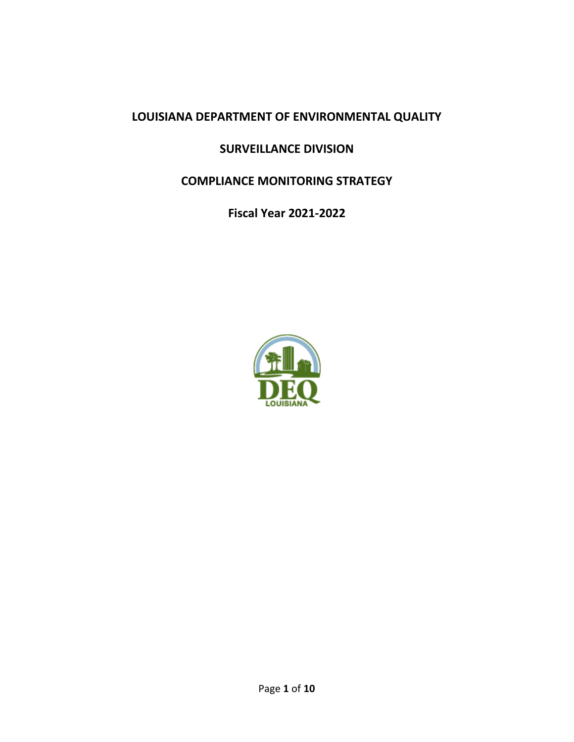# **LOUISIANA DEPARTMENT OF ENVIRONMENTAL QUALITY**

# **SURVEILLANCE DIVISION**

# **COMPLIANCE MONITORING STRATEGY**

**Fiscal Year 2021-2022**

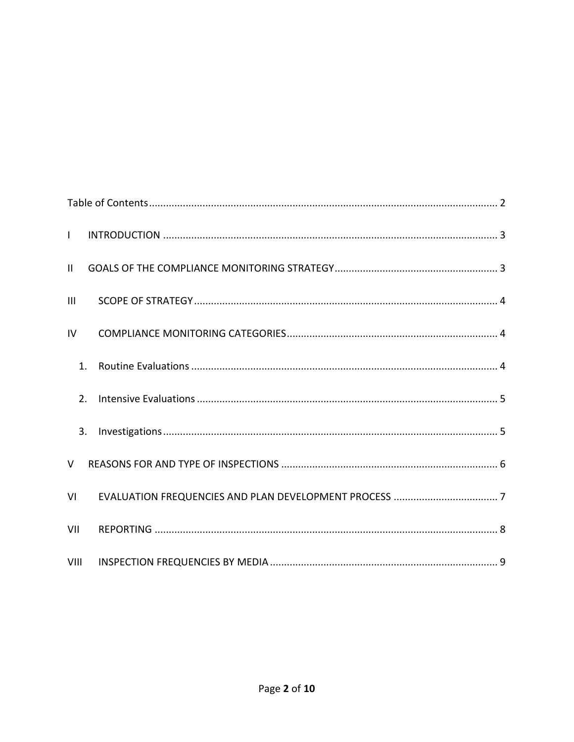<span id="page-1-0"></span>

| $\mathbf{L}$ |  |
|--------------|--|
| $\mathbf{H}$ |  |
| III          |  |
| IV           |  |
| 1.           |  |
| 2.           |  |
| 3.           |  |
| $\vee$       |  |
| VI           |  |
| VII          |  |
| VIII         |  |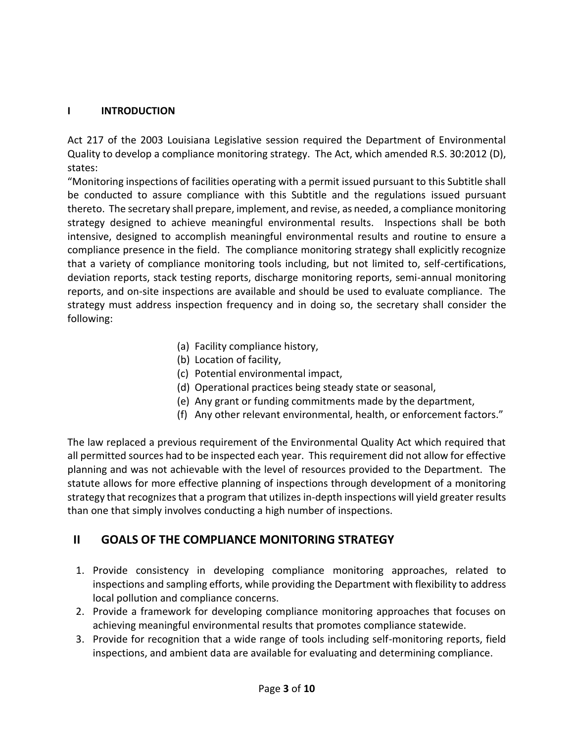#### <span id="page-2-0"></span>**I INTRODUCTION**

Act 217 of the 2003 Louisiana Legislative session required the Department of Environmental Quality to develop a compliance monitoring strategy. The Act, which amended R.S. 30:2012 (D), states:

"Monitoring inspections of facilities operating with a permit issued pursuant to this Subtitle shall be conducted to assure compliance with this Subtitle and the regulations issued pursuant thereto. The secretary shall prepare, implement, and revise, as needed, a compliance monitoring strategy designed to achieve meaningful environmental results. Inspections shall be both intensive, designed to accomplish meaningful environmental results and routine to ensure a compliance presence in the field. The compliance monitoring strategy shall explicitly recognize that a variety of compliance monitoring tools including, but not limited to, self-certifications, deviation reports, stack testing reports, discharge monitoring reports, semi-annual monitoring reports, and on-site inspections are available and should be used to evaluate compliance. The strategy must address inspection frequency and in doing so, the secretary shall consider the following:

- (a) Facility compliance history,
- (b) Location of facility,
- (c) Potential environmental impact,
- (d) Operational practices being steady state or seasonal,
- (e) Any grant or funding commitments made by the department,
- (f) Any other relevant environmental, health, or enforcement factors."

The law replaced a previous requirement of the Environmental Quality Act which required that all permitted sources had to be inspected each year. This requirement did not allow for effective planning and was not achievable with the level of resources provided to the Department. The statute allows for more effective planning of inspections through development of a monitoring strategy that recognizes that a program that utilizes in-depth inspections will yield greater results than one that simply involves conducting a high number of inspections.

# <span id="page-2-1"></span> **II GOALS OF THE COMPLIANCE MONITORING STRATEGY**

- 1. Provide consistency in developing compliance monitoring approaches, related to inspections and sampling efforts, while providing the Department with flexibility to address local pollution and compliance concerns.
- 2. Provide a framework for developing compliance monitoring approaches that focuses on achieving meaningful environmental results that promotes compliance statewide.
- 3. Provide for recognition that a wide range of tools including self-monitoring reports, field inspections, and ambient data are available for evaluating and determining compliance.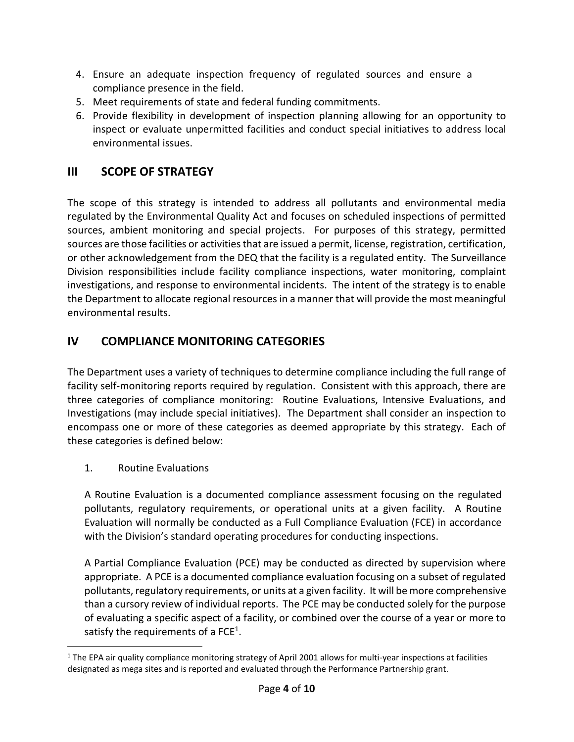- 4. Ensure an adequate inspection frequency of regulated sources and ensure a compliance presence in the field.
- 5. Meet requirements of state and federal funding commitments.
- 6. Provide flexibility in development of inspection planning allowing for an opportunity to inspect or evaluate unpermitted facilities and conduct special initiatives to address local environmental issues.

# <span id="page-3-0"></span>**III SCOPE OF STRATEGY**

The scope of this strategy is intended to address all pollutants and environmental media regulated by the Environmental Quality Act and focuses on scheduled inspections of permitted sources, ambient monitoring and special projects. For purposes of this strategy, permitted sources are those facilities or activities that are issued a permit, license, registration, certification, or other acknowledgement from the DEQ that the facility is a regulated entity. The Surveillance Division responsibilities include facility compliance inspections, water monitoring, complaint investigations, and response to environmental incidents. The intent of the strategy is to enable the Department to allocate regional resources in a manner that will provide the most meaningful environmental results.

# <span id="page-3-1"></span>**IV COMPLIANCE MONITORING CATEGORIES**

The Department uses a variety of techniques to determine compliance including the full range of facility self-monitoring reports required by regulation. Consistent with this approach, there are three categories of compliance monitoring: Routine Evaluations, Intensive Evaluations, and Investigations (may include special initiatives). The Department shall consider an inspection to encompass one or more of these categories as deemed appropriate by this strategy. Each of these categories is defined below:

<span id="page-3-2"></span>1. Routine Evaluations

 $\overline{a}$ 

A Routine Evaluation is a documented compliance assessment focusing on the regulated pollutants, regulatory requirements, or operational units at a given facility. A Routine Evaluation will normally be conducted as a Full Compliance Evaluation (FCE) in accordance with the Division's standard operating procedures for conducting inspections.

A Partial Compliance Evaluation (PCE) may be conducted as directed by supervision where appropriate. A PCE is a documented compliance evaluation focusing on a subset of regulated pollutants, regulatory requirements, or units at a given facility. It will be more comprehensive than a cursory review of individual reports. The PCE may be conducted solely for the purpose of evaluating a specific aspect of a facility, or combined over the course of a year or more to satisfy the requirements of a FCE<sup>1</sup>.

 $1$  The EPA air quality compliance monitoring strategy of April 2001 allows for multi-year inspections at facilities designated as mega sites and is reported and evaluated through the Performance Partnership grant.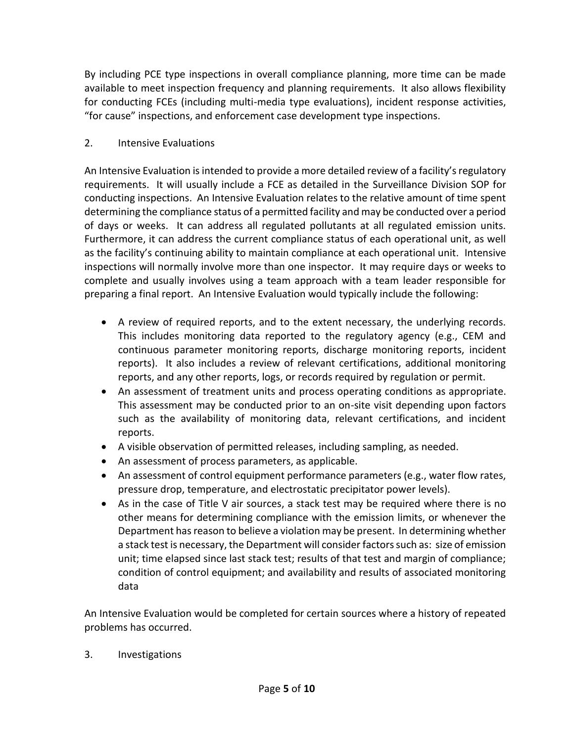By including PCE type inspections in overall compliance planning, more time can be made available to meet inspection frequency and planning requirements. It also allows flexibility for conducting FCEs (including multi-media type evaluations), incident response activities, "for cause" inspections, and enforcement case development type inspections.

#### <span id="page-4-0"></span>2. Intensive Evaluations

An Intensive Evaluation is intended to provide a more detailed review of a facility's regulatory requirements. It will usually include a FCE as detailed in the Surveillance Division SOP for conducting inspections. An Intensive Evaluation relates to the relative amount of time spent determining the compliance status of a permitted facility and may be conducted over a period of days or weeks. It can address all regulated pollutants at all regulated emission units. Furthermore, it can address the current compliance status of each operational unit, as well as the facility's continuing ability to maintain compliance at each operational unit. Intensive inspections will normally involve more than one inspector. It may require days or weeks to complete and usually involves using a team approach with a team leader responsible for preparing a final report. An Intensive Evaluation would typically include the following:

- A review of required reports, and to the extent necessary, the underlying records. This includes monitoring data reported to the regulatory agency (e.g., CEM and continuous parameter monitoring reports, discharge monitoring reports, incident reports). It also includes a review of relevant certifications, additional monitoring reports, and any other reports, logs, or records required by regulation or permit.
- An assessment of treatment units and process operating conditions as appropriate. This assessment may be conducted prior to an on-site visit depending upon factors such as the availability of monitoring data, relevant certifications, and incident reports.
- A visible observation of permitted releases, including sampling, as needed.
- An assessment of process parameters, as applicable.
- An assessment of control equipment performance parameters (e.g., water flow rates, pressure drop, temperature, and electrostatic precipitator power levels).
- As in the case of Title V air sources, a stack test may be required where there is no other means for determining compliance with the emission limits, or whenever the Department has reason to believe a violation may be present. In determining whether a stack test is necessary, the Department will consider factors such as: size of emission unit; time elapsed since last stack test; results of that test and margin of compliance; condition of control equipment; and availability and results of associated monitoring data

An Intensive Evaluation would be completed for certain sources where a history of repeated problems has occurred.

<span id="page-4-1"></span>3. Investigations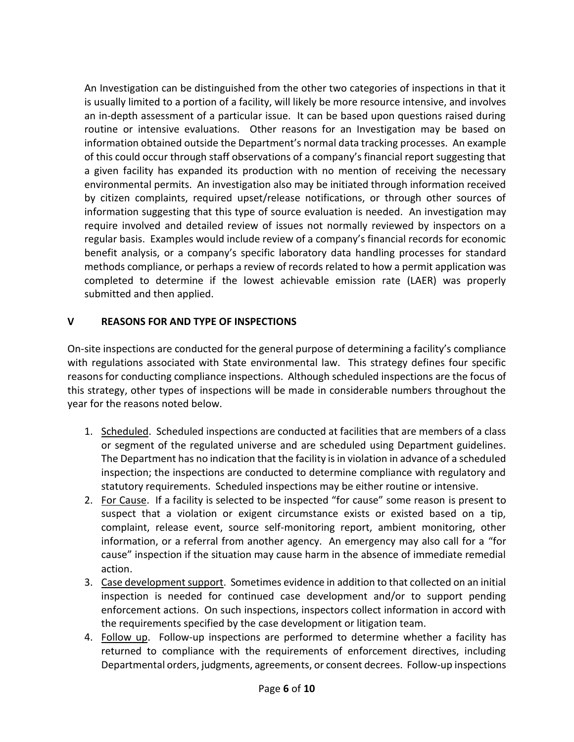An Investigation can be distinguished from the other two categories of inspections in that it is usually limited to a portion of a facility, will likely be more resource intensive, and involves an in-depth assessment of a particular issue. It can be based upon questions raised during routine or intensive evaluations. Other reasons for an Investigation may be based on information obtained outside the Department's normal data tracking processes. An example of this could occur through staff observations of a company's financial report suggesting that a given facility has expanded its production with no mention of receiving the necessary environmental permits. An investigation also may be initiated through information received by citizen complaints, required upset/release notifications, or through other sources of information suggesting that this type of source evaluation is needed. An investigation may require involved and detailed review of issues not normally reviewed by inspectors on a regular basis. Examples would include review of a company's financial records for economic benefit analysis, or a company's specific laboratory data handling processes for standard methods compliance, or perhaps a review of records related to how a permit application was completed to determine if the lowest achievable emission rate (LAER) was properly submitted and then applied.

### <span id="page-5-0"></span>**V REASONS FOR AND TYPE OF INSPECTIONS**

On-site inspections are conducted for the general purpose of determining a facility's compliance with regulations associated with State environmental law. This strategy defines four specific reasons for conducting compliance inspections. Although scheduled inspections are the focus of this strategy, other types of inspections will be made in considerable numbers throughout the year for the reasons noted below.

- 1. Scheduled. Scheduled inspections are conducted at facilities that are members of a class or segment of the regulated universe and are scheduled using Department guidelines. The Department has no indication that the facility is in violation in advance of a scheduled inspection; the inspections are conducted to determine compliance with regulatory and statutory requirements. Scheduled inspections may be either routine or intensive.
- 2. For Cause. If a facility is selected to be inspected "for cause" some reason is present to suspect that a violation or exigent circumstance exists or existed based on a tip, complaint, release event, source self-monitoring report, ambient monitoring, other information, or a referral from another agency. An emergency may also call for a "for cause" inspection if the situation may cause harm in the absence of immediate remedial action.
- 3. Case development support. Sometimes evidence in addition to that collected on an initial inspection is needed for continued case development and/or to support pending enforcement actions. On such inspections, inspectors collect information in accord with the requirements specified by the case development or litigation team.
- 4. Follow up. Follow-up inspections are performed to determine whether a facility has returned to compliance with the requirements of enforcement directives, including Departmental orders, judgments, agreements, or consent decrees. Follow-up inspections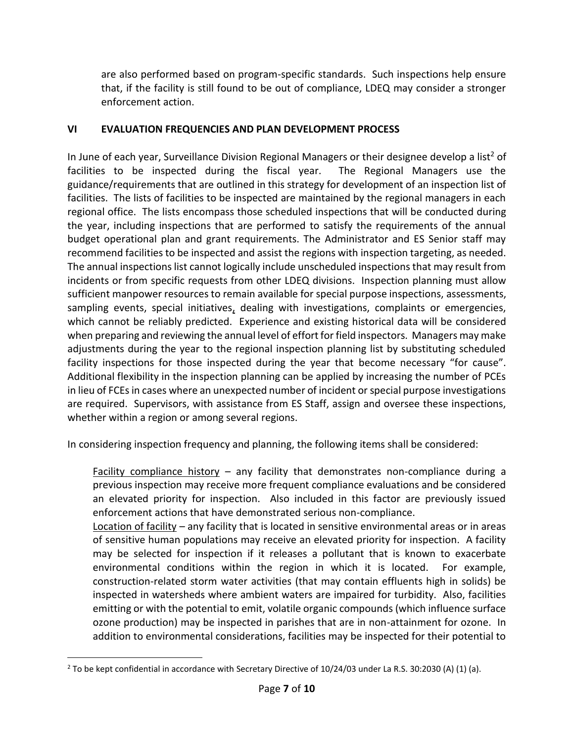are also performed based on program-specific standards. Such inspections help ensure that, if the facility is still found to be out of compliance, LDEQ may consider a stronger enforcement action.

### <span id="page-6-0"></span>**VI EVALUATION FREQUENCIES AND PLAN DEVELOPMENT PROCESS**

In June of each year, Surveillance Division Regional Managers or their designee develop a list<sup>2</sup> of facilities to be inspected during the fiscal year. The Regional Managers use the guidance/requirements that are outlined in this strategy for development of an inspection list of facilities. The lists of facilities to be inspected are maintained by the regional managers in each regional office. The lists encompass those scheduled inspections that will be conducted during the year, including inspections that are performed to satisfy the requirements of the annual budget operational plan and grant requirements. The Administrator and ES Senior staff may recommend facilities to be inspected and assist the regions with inspection targeting, as needed. The annual inspections list cannot logically include unscheduled inspections that may result from incidents or from specific requests from other LDEQ divisions. Inspection planning must allow sufficient manpower resources to remain available for special purpose inspections, assessments, sampling events, special initiatives, dealing with investigations, complaints or emergencies, which cannot be reliably predicted. Experience and existing historical data will be considered when preparing and reviewing the annual level of effort for field inspectors. Managers may make adjustments during the year to the regional inspection planning list by substituting scheduled facility inspections for those inspected during the year that become necessary "for cause". Additional flexibility in the inspection planning can be applied by increasing the number of PCEs in lieu of FCEs in cases where an unexpected number of incident or special purpose investigations are required. Supervisors, with assistance from ES Staff, assign and oversee these inspections, whether within a region or among several regions.

In considering inspection frequency and planning, the following items shall be considered:

Facility compliance history – any facility that demonstrates non-compliance during a previous inspection may receive more frequent compliance evaluations and be considered an elevated priority for inspection. Also included in this factor are previously issued enforcement actions that have demonstrated serious non-compliance.

Location of facility – any facility that is located in sensitive environmental areas or in areas of sensitive human populations may receive an elevated priority for inspection. A facility may be selected for inspection if it releases a pollutant that is known to exacerbate environmental conditions within the region in which it is located. For example, construction-related storm water activities (that may contain effluents high in solids) be inspected in watersheds where ambient waters are impaired for turbidity. Also, facilities emitting or with the potential to emit, volatile organic compounds (which influence surface ozone production) may be inspected in parishes that are in non-attainment for ozone. In addition to environmental considerations, facilities may be inspected for their potential to

 $\overline{a}$ 

 $2$  To be kept confidential in accordance with Secretary Directive of 10/24/03 under La R.S. 30:2030 (A) (1) (a).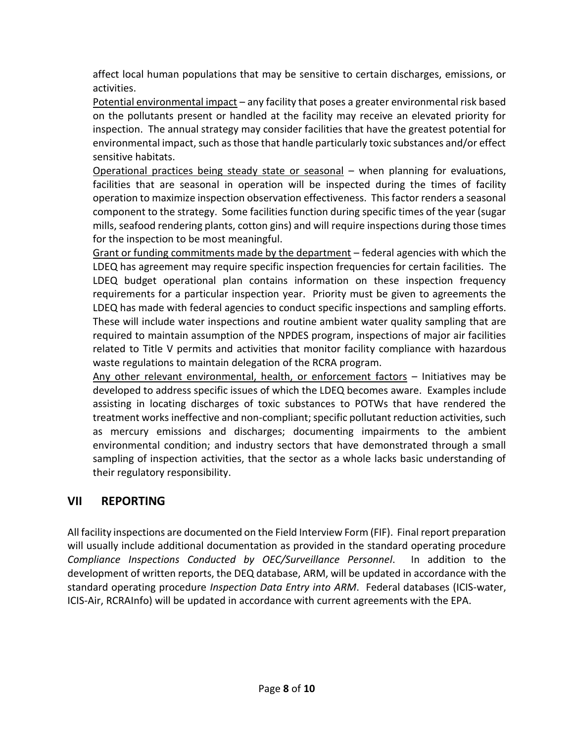affect local human populations that may be sensitive to certain discharges, emissions, or activities.

Potential environmental impact – any facility that poses a greater environmental risk based on the pollutants present or handled at the facility may receive an elevated priority for inspection. The annual strategy may consider facilities that have the greatest potential for environmental impact, such as those that handle particularly toxic substances and/or effect sensitive habitats.

Operational practices being steady state or seasonal – when planning for evaluations, facilities that are seasonal in operation will be inspected during the times of facility operation to maximize inspection observation effectiveness. This factor renders a seasonal component to the strategy. Some facilities function during specific times of the year (sugar mills, seafood rendering plants, cotton gins) and will require inspections during those times for the inspection to be most meaningful.

Grant or funding commitments made by the department – federal agencies with which the LDEQ has agreement may require specific inspection frequencies for certain facilities. The LDEQ budget operational plan contains information on these inspection frequency requirements for a particular inspection year. Priority must be given to agreements the LDEQ has made with federal agencies to conduct specific inspections and sampling efforts. These will include water inspections and routine ambient water quality sampling that are required to maintain assumption of the NPDES program, inspections of major air facilities related to Title V permits and activities that monitor facility compliance with hazardous waste regulations to maintain delegation of the RCRA program.

Any other relevant environmental, health, or enforcement factors – Initiatives may be developed to address specific issues of which the LDEQ becomes aware. Examples include assisting in locating discharges of toxic substances to POTWs that have rendered the treatment works ineffective and non-compliant; specific pollutant reduction activities, such as mercury emissions and discharges; documenting impairments to the ambient environmental condition; and industry sectors that have demonstrated through a small sampling of inspection activities, that the sector as a whole lacks basic understanding of their regulatory responsibility.

# <span id="page-7-0"></span>**VII REPORTING**

All facility inspections are documented on the Field Interview Form (FIF). Final report preparation will usually include additional documentation as provided in the standard operating procedure *Compliance Inspections Conducted by OEC/Surveillance Personnel*. In addition to the development of written reports, the DEQ database, ARM, will be updated in accordance with the standard operating procedure *Inspection Data Entry into ARM*. Federal databases (ICIS-water, ICIS-Air, RCRAInfo) will be updated in accordance with current agreements with the EPA.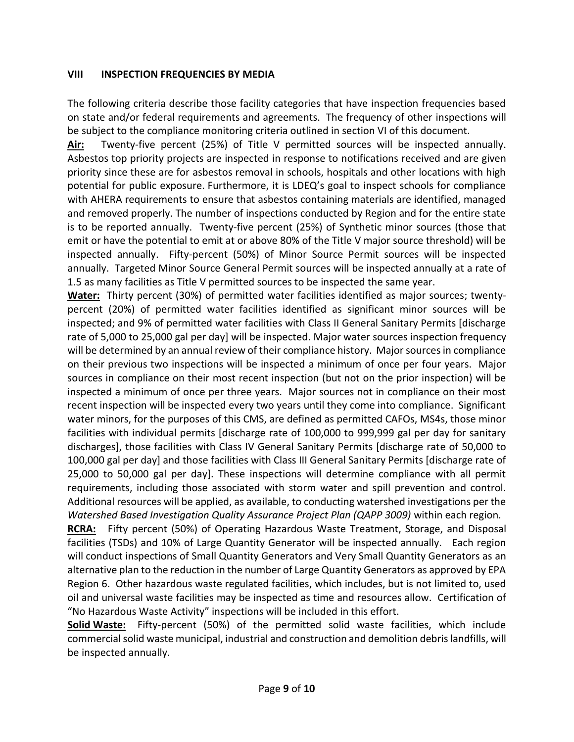#### <span id="page-8-0"></span>**VIII INSPECTION FREQUENCIES BY MEDIA**

The following criteria describe those facility categories that have inspection frequencies based on state and/or federal requirements and agreements. The frequency of other inspections will be subject to the compliance monitoring criteria outlined in section VI of this document.

**Air:** Twenty-five percent (25%) of Title V permitted sources will be inspected annually. Asbestos top priority projects are inspected in response to notifications received and are given priority since these are for asbestos removal in schools, hospitals and other locations with high potential for public exposure. Furthermore, it is LDEQ's goal to inspect schools for compliance with AHERA requirements to ensure that asbestos containing materials are identified, managed and removed properly. The number of inspections conducted by Region and for the entire state is to be reported annually. Twenty-five percent (25%) of Synthetic minor sources (those that emit or have the potential to emit at or above 80% of the Title V major source threshold) will be inspected annually. Fifty-percent (50%) of Minor Source Permit sources will be inspected annually. Targeted Minor Source General Permit sources will be inspected annually at a rate of 1.5 as many facilities as Title V permitted sources to be inspected the same year.

**Water:** Thirty percent (30%) of permitted water facilities identified as major sources; twentypercent (20%) of permitted water facilities identified as significant minor sources will be inspected; and 9% of permitted water facilities with Class II General Sanitary Permits [discharge rate of 5,000 to 25,000 gal per day] will be inspected. Major water sources inspection frequency will be determined by an annual review of their compliance history. Major sources in compliance on their previous two inspections will be inspected a minimum of once per four years. Major sources in compliance on their most recent inspection (but not on the prior inspection) will be inspected a minimum of once per three years. Major sources not in compliance on their most recent inspection will be inspected every two years until they come into compliance. Significant water minors, for the purposes of this CMS, are defined as permitted CAFOs, MS4s, those minor facilities with individual permits [discharge rate of 100,000 to 999,999 gal per day for sanitary discharges], those facilities with Class IV General Sanitary Permits [discharge rate of 50,000 to 100,000 gal per day] and those facilities with Class III General Sanitary Permits [discharge rate of 25,000 to 50,000 gal per day]. These inspections will determine compliance with all permit requirements, including those associated with storm water and spill prevention and control. Additional resources will be applied, as available, to conducting watershed investigations per the *Watershed Based Investigation Quality Assurance Project Plan (QAPP 3009)* within each region*.*

**RCRA:** Fifty percent (50%) of Operating Hazardous Waste Treatment, Storage, and Disposal facilities (TSDs) and 10% of Large Quantity Generator will be inspected annually. Each region will conduct inspections of Small Quantity Generators and Very Small Quantity Generators as an alternative plan to the reduction in the number of Large Quantity Generators as approved by EPA Region 6. Other hazardous waste regulated facilities, which includes, but is not limited to, used oil and universal waste facilities may be inspected as time and resources allow. Certification of "No Hazardous Waste Activity" inspections will be included in this effort.

**Solid Waste:** Fifty-percent (50%) of the permitted solid waste facilities, which include commercial solid waste municipal, industrial and construction and demolition debris landfills, will be inspected annually.